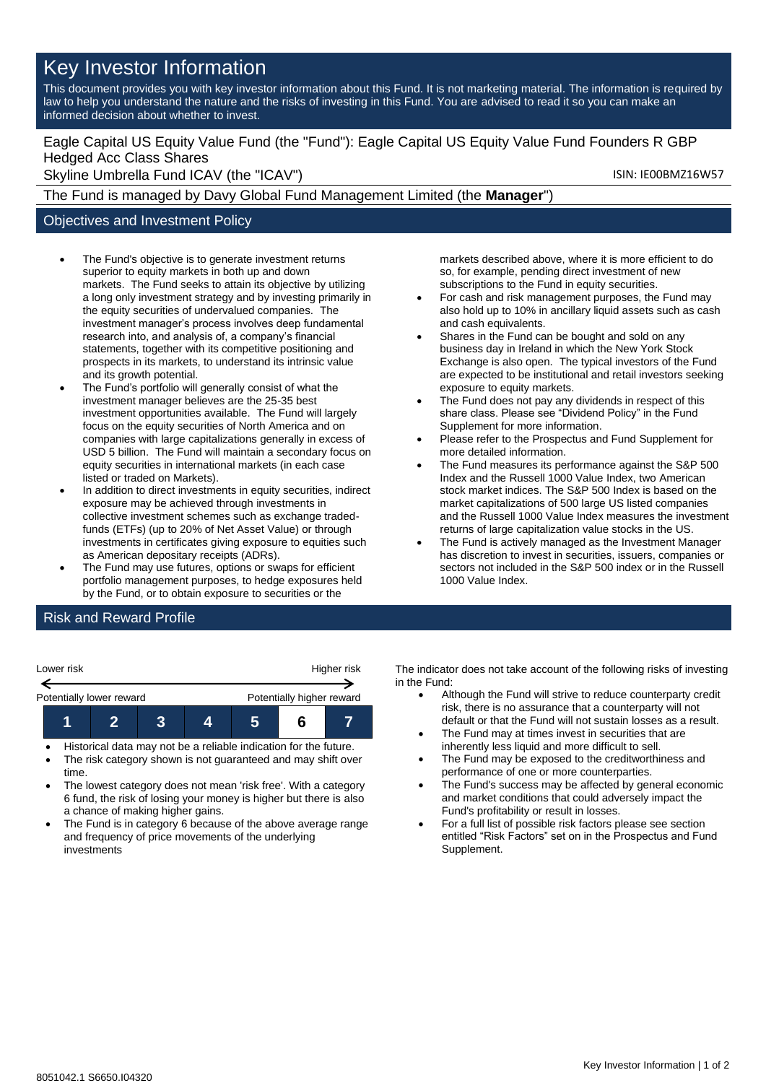# Key Investor Information

This document provides you with key investor information about this Fund. It is not marketing material. The information is required by law to help you understand the nature and the risks of investing in this Fund. You are advised to read it so you can make an informed decision about whether to invest.

## Eagle Capital US Equity Value Fund (the "Fund"): Eagle Capital US Equity Value Fund Founders R GBP Hedged Acc Class Shares

Skyline Umbrella Fund ICAV (the "ICAV") Skyline Umbrella Fund ICAV (the "ICAV")

The Fund is managed by Davy Global Fund Management Limited (the **Manager**")

### Objectives and Investment Policy

- The Fund's objective is to generate investment returns superior to equity markets in both up and down markets. The Fund seeks to attain its objective by utilizing a long only investment strategy and by investing primarily in the equity securities of undervalued companies. The investment manager's process involves deep fundamental research into, and analysis of, a company's financial statements, together with its competitive positioning and prospects in its markets, to understand its intrinsic value and its growth potential.
- The Fund's portfolio will generally consist of what the investment manager believes are the 25-35 best investment opportunities available. The Fund will largely focus on the equity securities of North America and on companies with large capitalizations generally in excess of USD 5 billion. The Fund will maintain a secondary focus on equity securities in international markets (in each case listed or traded on Markets).
- In addition to direct investments in equity securities, indirect exposure may be achieved through investments in collective investment schemes such as exchange tradedfunds (ETFs) (up to 20% of Net Asset Value) or through investments in certificates giving exposure to equities such as American depositary receipts (ADRs).
- The Fund may use futures, options or swaps for efficient portfolio management purposes, to hedge exposures held by the Fund, or to obtain exposure to securities or the

markets described above, where it is more efficient to do so, for example, pending direct investment of new subscriptions to the Fund in equity securities.

- For cash and risk management purposes, the Fund may also hold up to 10% in ancillary liquid assets such as cash and cash equivalents.
- Shares in the Fund can be bought and sold on any business day in Ireland in which the New York Stock Exchange is also open. The typical investors of the Fund are expected to be institutional and retail investors seeking exposure to equity markets.
- The Fund does not pay any dividends in respect of this share class. Please see "Dividend Policy" in the Fund Supplement for more information.
- Please refer to the Prospectus and Fund Supplement for more detailed information.
- The Fund measures its performance against the S&P 500 Index and the Russell 1000 Value Index, two American stock market indices. The S&P 500 Index is based on the market capitalizations of 500 large US listed companies and the Russell 1000 Value Index measures the investment returns of large capitalization value stocks in the US.
- The Fund is actively managed as the Investment Manager has discretion to invest in securities, issuers, companies or sectors not included in the S&P 500 index or in the Russell 1000 Value Index.

## Risk and Reward Profile

| Lower risk               |  | Higher risk |  |                           |  |  |
|--------------------------|--|-------------|--|---------------------------|--|--|
| Potentially lower reward |  |             |  | Potentially higher reward |  |  |
|                          |  |             |  |                           |  |  |

- Historical data may not be a reliable indication for the future.
- The risk category shown is not guaranteed and may shift over time.
- The lowest category does not mean 'risk free'. With a category 6 fund, the risk of losing your money is higher but there is also a chance of making higher gains.
- The Fund is in category 6 because of the above average range and frequency of price movements of the underlying investments

The indicator does not take account of the following risks of investing in the Fund:

- Although the Fund will strive to reduce counterparty credit risk, there is no assurance that a counterparty will not default or that the Fund will not sustain losses as a result.
- The Fund may at times invest in securities that are inherently less liquid and more difficult to sell.
- The Fund may be exposed to the creditworthiness and performance of one or more counterparties.
- The Fund's success may be affected by general economic and market conditions that could adversely impact the Fund's profitability or result in losses.
- For a full list of possible risk factors please see section entitled "Risk Factors" set on in the Prospectus and Fund Supplement.